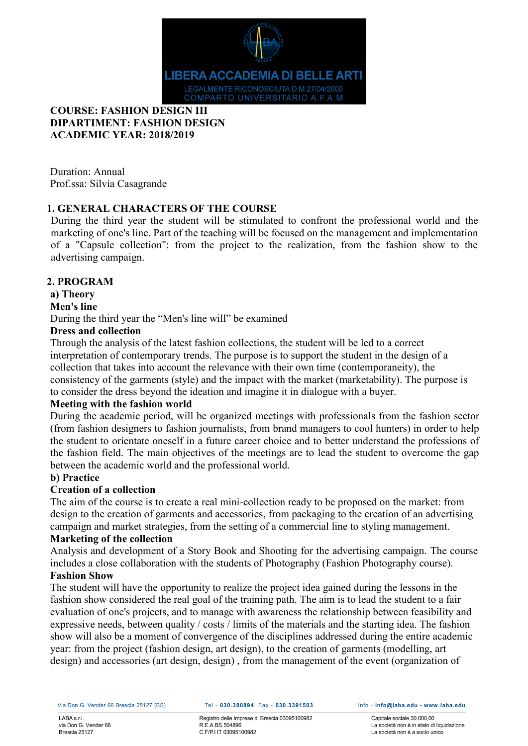

# **COURSE: FASHION DESIGN III DIPARTIMENT: FASHION DESIGN ACADEMIC YEAR: 2018/2019**

Duration: Annual Prof.ssa: Silvia Casagrande

# **1. GENERAL CHARACTERS OF THE COURSE**

During the third year the student will be stimulated to confront the professional world and the marketing of one's line. Part of the teaching will be focused on the management and implementation of a "Capsule collection": from the project to the realization, from the fashion show to the advertising campaign.

# **2. PROGRAM**

**a) Theory**

# **Men's line**

During the third year the "Men's line will" be examined

# **Dress and collection**

Through the analysis of the latest fashion collections, the student will be led to a correct interpretation of contemporary trends. The purpose is to support the student in the design of a collection that takes into account the relevance with their own time (contemporaneity), the consistency of the garments (style) and the impact with the market (marketability). The purpose is to consider the dress beyond the ideation and imagine it in dialogue with a buyer.

# **Meeting with the fashion world**

During the academic period, will be organized meetings with professionals from the fashion sector (from fashion designers to fashion journalists, from brand managers to cool hunters) in order to help the student to orientate oneself in a future career choice and to better understand the professions of the fashion field. The main objectives of the meetings are to lead the student to overcome the gap between the academic world and the professional world.

# **b) Practice**

# **Creation of a collection**

The aim of the course is to create a real mini-collection ready to be proposed on the market: from design to the creation of garments and accessories, from packaging to the creation of an advertising campaign and market strategies, from the setting of a commercial line to styling management.

#### **Marketing of the collection**

Analysis and development of a Story Book and Shooting for the advertising campaign. The course includes a close collaboration with the students of Photography (Fashion Photography course). **Fashion Show**

The student will have the opportunity to realize the project idea gained during the lessons in the fashion show considered the real goal of the training path. The aim is to lead the student to a fair evaluation of one's projects, and to manage with awareness the relationship between feasibility and expressive needs, between quality / costs / limits of the materials and the starting idea. The fashion show will also be a moment of convergence of the disciplines addressed during the entire academic year: from the project (fashion design, art design), to the creation of garments (modelling, art design) and accessories (art design, design) , from the management of the event (organization of

#### Via Don G. Vender 66 Brescia 25127 (BS) Tel - **030.380894** Fax - **030.3391503** Info - **info@laba.edu - www.laba.edu**